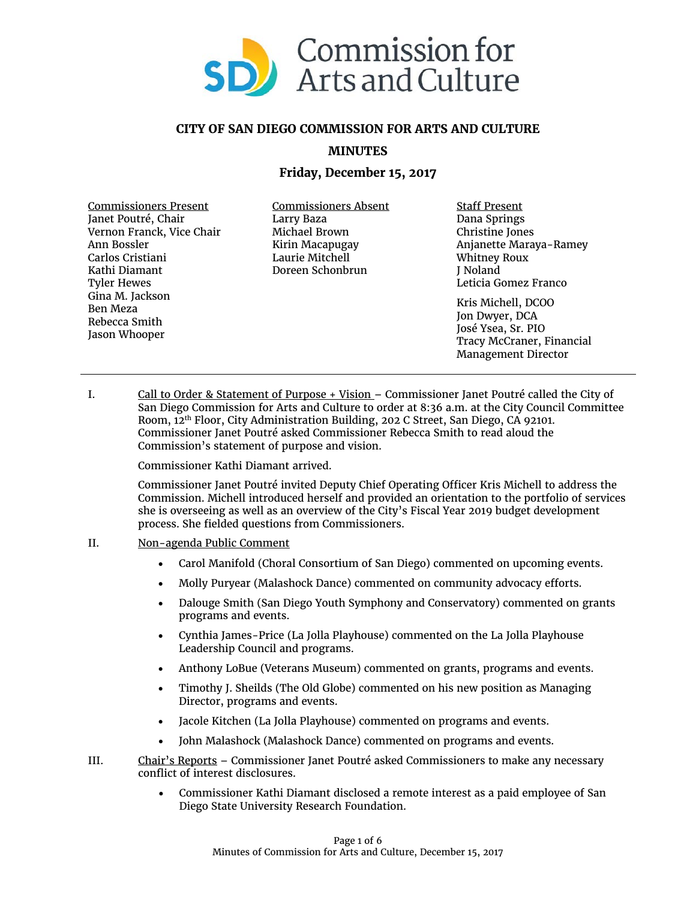

## **CITY OF SAN DIEGO COMMISSION FOR ARTS AND CULTURE MINUTES**

## **Friday, December 15, 2017**

Commissioners Present Janet Poutré, Chair Vernon Franck, Vice Chair Ann Bossler Carlos Cristiani Kathi Diamant Tyler Hewes Gina M. Jackson Ben Meza Rebecca Smith Jason Whooper

Commissioners Absent Larry Baza Michael Brown Kirin Macapugay Laurie Mitchell Doreen Schonbrun

Staff Present Dana Springs Christine Jones Anjanette Maraya-Ramey Whitney Roux J Noland Leticia Gomez Franco

Kris Michell, DCOO Jon Dwyer, DCA José Ysea, Sr. PIO Tracy McCraner, Financial Management Director

I. Call to Order & Statement of Purpose + Vision – Commissioner Janet Poutré called the City of San Diego Commission for Arts and Culture to order at 8:36 a.m. at the City Council Committee Room, 12th Floor, City Administration Building, 202 C Street, San Diego, CA 92101. Commissioner Janet Poutré asked Commissioner Rebecca Smith to read aloud the Commission's statement of purpose and vision.

Commissioner Kathi Diamant arrived.

Commissioner Janet Poutré invited Deputy Chief Operating Officer Kris Michell to address the Commission. Michell introduced herself and provided an orientation to the portfolio of services she is overseeing as well as an overview of the City's Fiscal Year 2019 budget development process. She fielded questions from Commissioners.

- II. Non-agenda Public Comment
	- Carol Manifold (Choral Consortium of San Diego) commented on upcoming events.
	- Molly Puryear (Malashock Dance) commented on community advocacy efforts.
	- Dalouge Smith (San Diego Youth Symphony and Conservatory) commented on grants programs and events.
	- Cynthia James-Price (La Jolla Playhouse) commented on the La Jolla Playhouse Leadership Council and programs.
	- Anthony LoBue (Veterans Museum) commented on grants, programs and events.
	- Timothy J. Sheilds (The Old Globe) commented on his new position as Managing Director, programs and events.
	- Jacole Kitchen (La Jolla Playhouse) commented on programs and events.
	- John Malashock (Malashock Dance) commented on programs and events.
- III. Chair's Reports Commissioner Janet Poutré asked Commissioners to make any necessary conflict of interest disclosures.
	- Commissioner Kathi Diamant disclosed a remote interest as a paid employee of San Diego State University Research Foundation.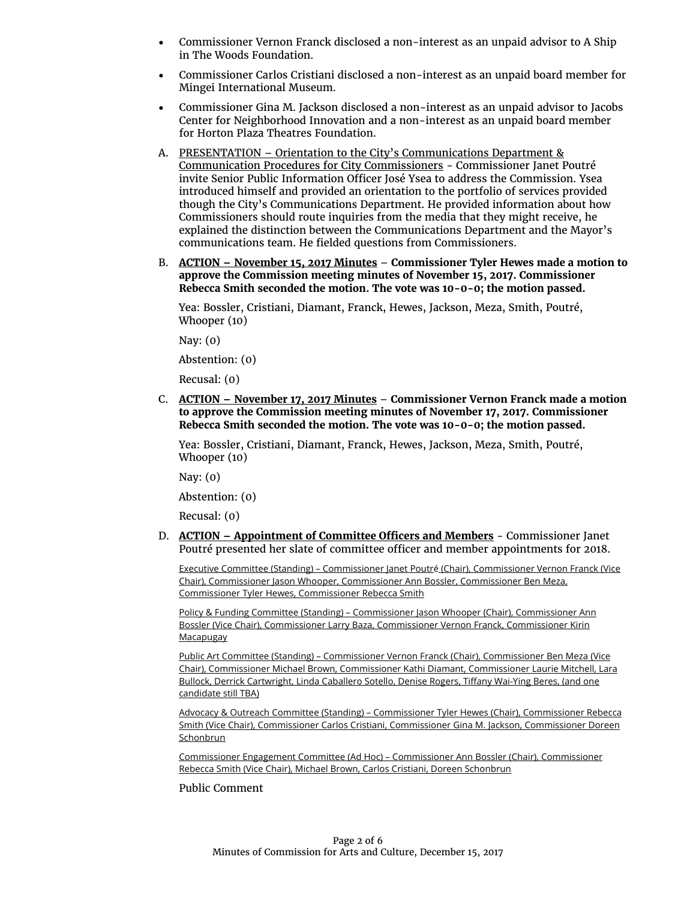- Commissioner Vernon Franck disclosed a non-interest as an unpaid advisor to A Ship in The Woods Foundation.
- Commissioner Carlos Cristiani disclosed a non-interest as an unpaid board member for Mingei International Museum.
- Commissioner Gina M. Jackson disclosed a non-interest as an unpaid advisor to Jacobs Center for Neighborhood Innovation and a non-interest as an unpaid board member for Horton Plaza Theatres Foundation.
- A. PRESENTATION Orientation to the City's Communications Department & Communication Procedures for City Commissioners - Commissioner Janet Poutré invite Senior Public Information Officer José Ysea to address the Commission. Ysea introduced himself and provided an orientation to the portfolio of services provided though the City's Communications Department. He provided information about how Commissioners should route inquiries from the media that they might receive, he explained the distinction between the Communications Department and the Mayor's communications team. He fielded questions from Commissioners.
- B. **ACTION – November 15, 2017 Minutes Commissioner Tyler Hewes made a motion to approve the Commission meeting minutes of November 15, 2017. Commissioner Rebecca Smith seconded the motion. The vote was 10-0-0; the motion passed.**

Yea: Bossler, Cristiani, Diamant, Franck, Hewes, Jackson, Meza, Smith, Poutré, Whooper (10)

Nay: (0)

Abstention: (0)

Recusal: (0)

C. **ACTION – November 17, 2017 Minutes** – **Commissioner Vernon Franck made a motion to approve the Commission meeting minutes of November 17, 2017. Commissioner Rebecca Smith seconded the motion. The vote was 10-0-0; the motion passed.**

Yea: Bossler, Cristiani, Diamant, Franck, Hewes, Jackson, Meza, Smith, Poutré, Whooper (10)

Nay: (0)

Abstention: (0)

Recusal: (0)

D. **ACTION – Appointment of Committee Officers and Members** - Commissioner Janet Poutré presented her slate of committee officer and member appointments for 2018.

Executive Committee (Standing) – Commissioner Janet Poutré (Chair), Commissioner Vernon Franck (Vice Chair), Commissioner Jason Whooper, Commissioner Ann Bossler, Commissioner Ben Meza, Commissioner Tyler Hewes, Commissioner Rebecca Smith

Policy & Funding Committee (Standing) – Commissioner Jason Whooper (Chair), Commissioner Ann Bossler (Vice Chair), Commissioner Larry Baza, Commissioner Vernon Franck, Commissioner Kirin **Macapugay** 

Public Art Committee (Standing) – Commissioner Vernon Franck (Chair), Commissioner Ben Meza (Vice Chair), Commissioner Michael Brown, Commissioner Kathi Diamant, Commissioner Laurie Mitchell, Lara Bullock, Derrick Cartwright, Linda Caballero Sotello, Denise Rogers, Tiffany Wai-Ying Beres, (and one candidate still TBA)

Advocacy & Outreach Committee (Standing) – Commissioner Tyler Hewes (Chair), Commissioner Rebecca Smith (Vice Chair), Commissioner Carlos Cristiani, Commissioner Gina M. Jackson, Commissioner Doreen **Schonbrun** 

Commissioner Engagement Committee (Ad Hoc) – Commissioner Ann Bossler (Chair), Commissioner Rebecca Smith (Vice Chair), Michael Brown, Carlos Cristiani, Doreen Schonbrun

Public Comment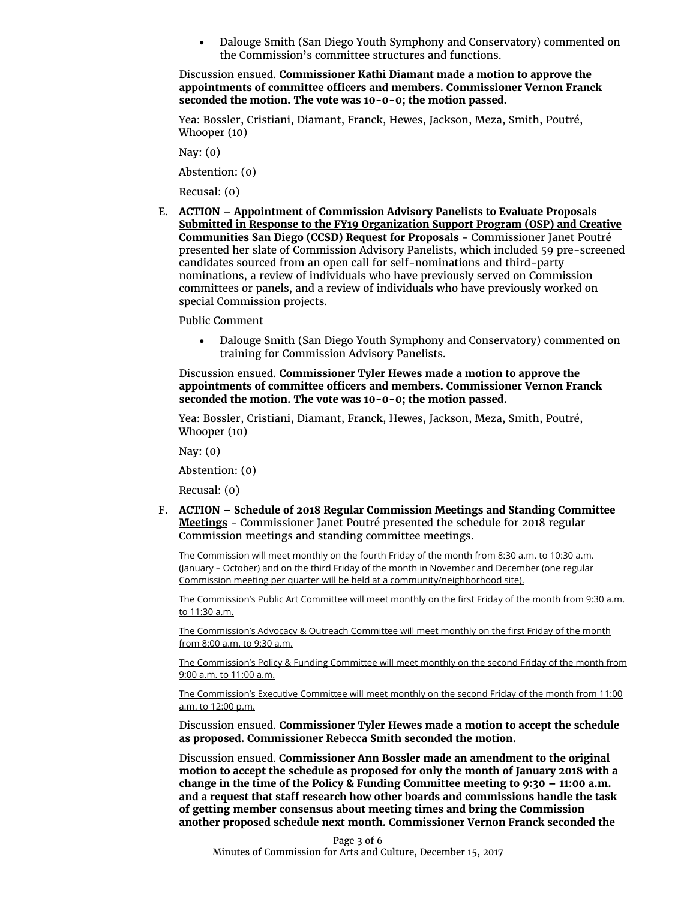• Dalouge Smith (San Diego Youth Symphony and Conservatory) commented on the Commission's committee structures and functions.

Discussion ensued. **Commissioner Kathi Diamant made a motion to approve the appointments of committee officers and members. Commissioner Vernon Franck seconded the motion. The vote was 10-0-0; the motion passed.**

Yea: Bossler, Cristiani, Diamant, Franck, Hewes, Jackson, Meza, Smith, Poutré, Whooper (10)

Nay: (0)

Abstention: (0)

Recusal: (0)

E. **ACTION – Appointment of Commission Advisory Panelists to Evaluate Proposals Submitted in Response to the FY19 Organization Support Program (OSP) and Creative Communities San Diego (CCSD) Request for Proposals** - Commissioner Janet Poutré presented her slate of Commission Advisory Panelists, which included 59 pre-screened candidates sourced from an open call for self-nominations and third-party nominations, a review of individuals who have previously served on Commission committees or panels, and a review of individuals who have previously worked on special Commission projects.

Public Comment

• Dalouge Smith (San Diego Youth Symphony and Conservatory) commented on training for Commission Advisory Panelists.

Discussion ensued. **Commissioner Tyler Hewes made a motion to approve the appointments of committee officers and members. Commissioner Vernon Franck seconded the motion. The vote was 10-0-0; the motion passed.**

Yea: Bossler, Cristiani, Diamant, Franck, Hewes, Jackson, Meza, Smith, Poutré, Whooper (10)

Nay: (0)

Abstention: (0)

Recusal: (0)

F. **ACTION – Schedule of 2018 Regular Commission Meetings and Standing Committee Meetings** - Commissioner Janet Poutré presented the schedule for 2018 regular Commission meetings and standing committee meetings.

The Commission will meet monthly on the fourth Friday of the month from 8:30 a.m. to 10:30 a.m. (January – October) and on the third Friday of the month in November and December (one regular Commission meeting per quarter will be held at a community/neighborhood site).

The Commission's Public Art Committee will meet monthly on the first Friday of the month from 9:30 a.m. to 11:30 a.m.

The Commission's Advocacy & Outreach Committee will meet monthly on the first Friday of the month from 8:00 a.m. to 9:30 a.m.

The Commission's Policy & Funding Committee will meet monthly on the second Friday of the month from 9:00 a.m. to 11:00 a.m.

The Commission's Executive Committee will meet monthly on the second Friday of the month from 11:00 a.m. to 12:00 p.m.

Discussion ensued. **Commissioner Tyler Hewes made a motion to accept the schedule as proposed. Commissioner Rebecca Smith seconded the motion.** 

Discussion ensued. **Commissioner Ann Bossler made an amendment to the original motion to accept the schedule as proposed for only the month of January 2018 with a change in the time of the Policy & Funding Committee meeting to 9:30 – 11:00 a.m. and a request that staff research how other boards and commissions handle the task of getting member consensus about meeting times and bring the Commission another proposed schedule next month. Commissioner Vernon Franck seconded the**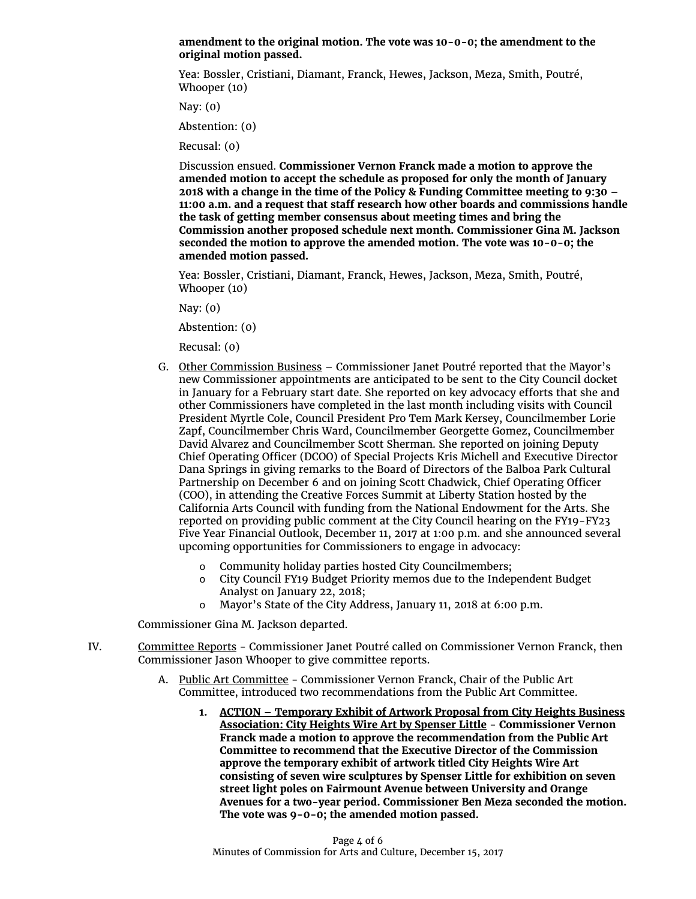**amendment to the original motion. The vote was 10-0-0; the amendment to the original motion passed.**

Yea: Bossler, Cristiani, Diamant, Franck, Hewes, Jackson, Meza, Smith, Poutré, Whooper (10)

Nay: (0)

Abstention: (0)

Recusal: (0)

Discussion ensued. **Commissioner Vernon Franck made a motion to approve the amended motion to accept the schedule as proposed for only the month of January 2018 with a change in the time of the Policy & Funding Committee meeting to 9:30 – 11:00 a.m. and a request that staff research how other boards and commissions handle the task of getting member consensus about meeting times and bring the Commission another proposed schedule next month. Commissioner Gina M. Jackson seconded the motion to approve the amended motion. The vote was 10-0-0; the amended motion passed.**

Yea: Bossler, Cristiani, Diamant, Franck, Hewes, Jackson, Meza, Smith, Poutré, Whooper (10)

Nay: (0)

Abstention: (0)

Recusal: (0)

- G. Other Commission Business Commissioner Janet Poutré reported that the Mayor's new Commissioner appointments are anticipated to be sent to the City Council docket in January for a February start date. She reported on key advocacy efforts that she and other Commissioners have completed in the last month including visits with Council President Myrtle Cole, Council President Pro Tem Mark Kersey, Councilmember Lorie Zapf, Councilmember Chris Ward, Councilmember Georgette Gomez, Councilmember David Alvarez and Councilmember Scott Sherman. She reported on joining Deputy Chief Operating Officer (DCOO) of Special Projects Kris Michell and Executive Director Dana Springs in giving remarks to the Board of Directors of the Balboa Park Cultural Partnership on December 6 and on joining Scott Chadwick, Chief Operating Officer (COO), in attending the Creative Forces Summit at Liberty Station hosted by the California Arts Council with funding from the National Endowment for the Arts. She reported on providing public comment at the City Council hearing on the FY19-FY23 Five Year Financial Outlook, December 11, 2017 at 1:00 p.m. and she announced several upcoming opportunities for Commissioners to engage in advocacy:
	- o Community holiday parties hosted City Councilmembers;<br>
	o City Council FY19 Budget Priority memos due to the Inder
	- City Council FY19 Budget Priority memos due to the Independent Budget Analyst on January 22, 2018;
	- o Mayor's State of the City Address, January 11, 2018 at 6:00 p.m.

Commissioner Gina M. Jackson departed.

- IV. Committee Reports Commissioner Janet Poutré called on Commissioner Vernon Franck, then Commissioner Jason Whooper to give committee reports.
	- A. Public Art Committee Commissioner Vernon Franck, Chair of the Public Art Committee, introduced two recommendations from the Public Art Committee.
		- **1. ACTION – Temporary Exhibit of Artwork Proposal from City Heights Business Association: City Heights Wire Art by Spenser Little** - **Commissioner Vernon Franck made a motion to approve the recommendation from the Public Art Committee to recommend that the Executive Director of the Commission approve the temporary exhibit of artwork titled City Heights Wire Art consisting of seven wire sculptures by Spenser Little for exhibition on seven street light poles on Fairmount Avenue between University and Orange Avenues for a two-year period. Commissioner Ben Meza seconded the motion. The vote was 9-0-0; the amended motion passed.**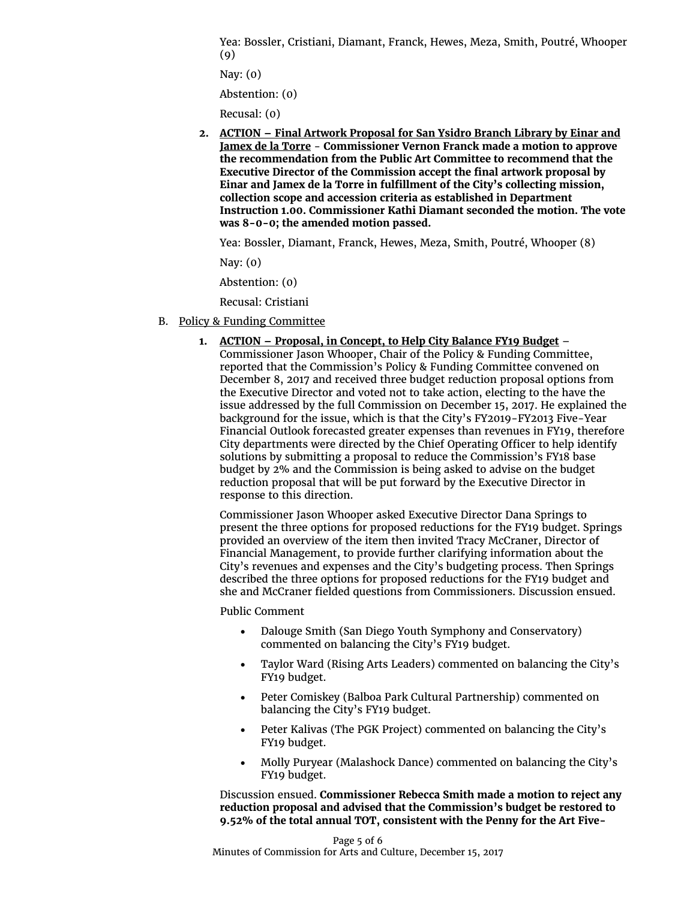Yea: Bossler, Cristiani, Diamant, Franck, Hewes, Meza, Smith, Poutré, Whooper (9)

Nay: (0)

Abstention: (0)

Recusal: (0)

**2. ACTION – Final Artwork Proposal for San Ysidro Branch Library by Einar and Jamex de la Torre** - **Commissioner Vernon Franck made a motion to approve the recommendation from the Public Art Committee to recommend that the Executive Director of the Commission accept the final artwork proposal by Einar and Jamex de la Torre in fulfillment of the City's collecting mission, collection scope and accession criteria as established in Department Instruction 1.00. Commissioner Kathi Diamant seconded the motion. The vote was 8-0-0; the amended motion passed.**

Yea: Bossler, Diamant, Franck, Hewes, Meza, Smith, Poutré, Whooper (8)

Nay: (0)

Abstention: (0)

Recusal: Cristiani

- B. Policy & Funding Committee
	- **1. ACTION – Proposal, in Concept, to Help City Balance FY19 Budget**
		- Commissioner Jason Whooper, Chair of the Policy & Funding Committee, reported that the Commission's Policy & Funding Committee convened on December 8, 2017 and received three budget reduction proposal options from the Executive Director and voted not to take action, electing to the have the issue addressed by the full Commission on December 15, 2017. He explained the background for the issue, which is that the City's FY2019-FY2013 Five-Year Financial Outlook forecasted greater expenses than revenues in FY19, therefore City departments were directed by the Chief Operating Officer to help identify solutions by submitting a proposal to reduce the Commission's FY18 base budget by 2% and the Commission is being asked to advise on the budget reduction proposal that will be put forward by the Executive Director in response to this direction.

Commissioner Jason Whooper asked Executive Director Dana Springs to present the three options for proposed reductions for the FY19 budget. Springs provided an overview of the item then invited Tracy McCraner, Director of Financial Management, to provide further clarifying information about the City's revenues and expenses and the City's budgeting process. Then Springs described the three options for proposed reductions for the FY19 budget and she and McCraner fielded questions from Commissioners. Discussion ensued.

Public Comment

- Dalouge Smith (San Diego Youth Symphony and Conservatory) commented on balancing the City's FY19 budget.
- Taylor Ward (Rising Arts Leaders) commented on balancing the City's FY19 budget.
- Peter Comiskey (Balboa Park Cultural Partnership) commented on balancing the City's FY19 budget.
- Peter Kalivas (The PGK Project) commented on balancing the City's FY19 budget.
- Molly Puryear (Malashock Dance) commented on balancing the City's FY19 budget.

Discussion ensued. **Commissioner Rebecca Smith made a motion to reject any reduction proposal and advised that the Commission's budget be restored to 9.52% of the total annual TOT, consistent with the Penny for the Art Five-**